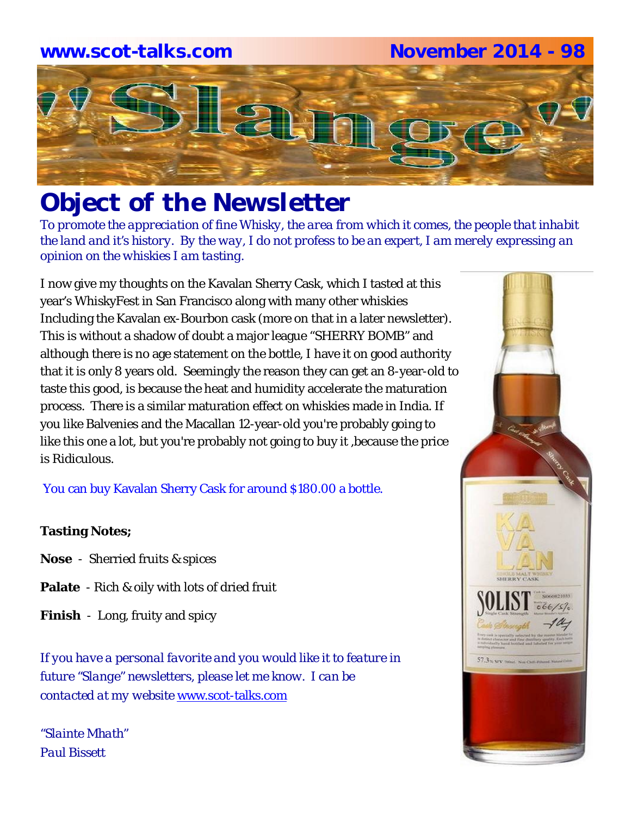

# *Object of the Newsletter*

*To promote the appreciation of fine Whisky, the area from which it comes, the people that inhabit the land and it's history. By the way, I do not profess to be an expert, I am merely expressing an opinion on the whiskies I am tasting.* 

I now give my thoughts on the Kavalan Sherry Cask, which I tasted at this year's WhiskyFest in San Francisco along with many other whiskies Including the Kavalan ex-Bourbon cask (more on that in a later newsletter). This is without a shadow of doubt a major league "SHERRY BOMB" and although there is no age statement on the bottle, I have it on good authority that it is only 8 years old. Seemingly the reason they can get an 8-year-old to taste this good, is because the heat and humidity accelerate the maturation process. There is a similar maturation effect on whiskies made in India. If you like Balvenies and the Macallan 12-year-old you're probably going to like this one a lot, but you're probably not going to buy it ,because the price is Ridiculous.

You can buy Kavalan Sherry Cask for around \$180.00 a bottle.

# **Tasting Notes;**

- **Nose**  Sherried fruits & spices
- **Palate**  Rich & oily with lots of dried fruit
- **Finish**  Long, fruity and spicy

*If you have a personal favorite and you would like it to feature in future "Slange" newsletters, please let me know. I can be contacted at my website* www.scot-talks.com

*"Slainte Mhath" Paul Bissett*

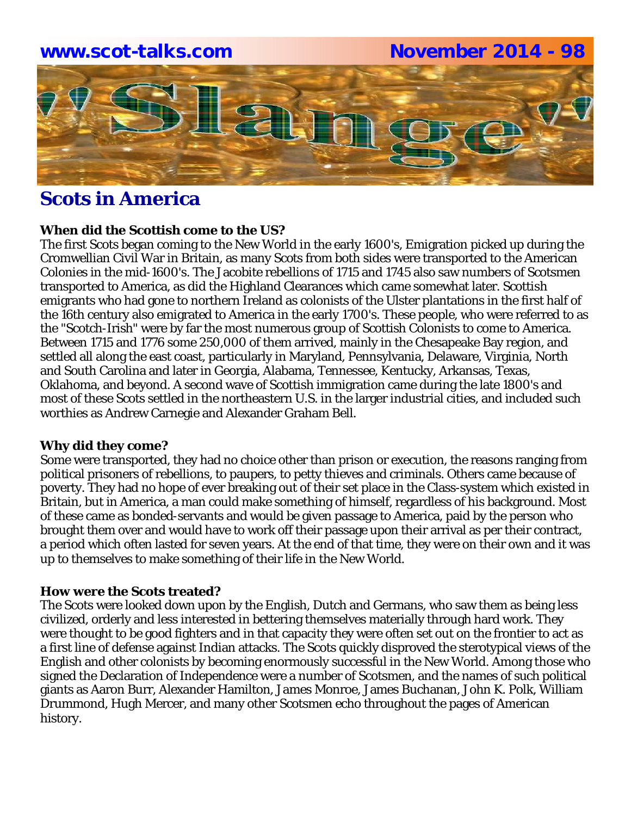

# **Scots in America**

## **When did the Scottish come to the US?**

The first Scots began coming to the New World in the early 1600's, Emigration picked up during the Cromwellian Civil War in Britain, as many Scots from both sides were transported to the American Colonies in the mid-1600's. The Jacobite rebellions of 1715 and 1745 also saw numbers of Scotsmen transported to America, as did the Highland Clearances which came somewhat later. Scottish emigrants who had gone to northern Ireland as colonists of the Ulster plantations in the first half of the 16th century also emigrated to America in the early 1700's. These people, who were referred to as the "Scotch-Irish" were by far the most numerous group of Scottish Colonists to come to America. Between 1715 and 1776 some 250,000 of them arrived, mainly in the Chesapeake Bay region, and settled all along the east coast, particularly in Maryland, Pennsylvania, Delaware, Virginia, North and South Carolina and later in Georgia, Alabama, Tennessee, Kentucky, Arkansas, Texas, Oklahoma, and beyond. A second wave of Scottish immigration came during the late 1800's and most of these Scots settled in the northeastern U.S. in the larger industrial cities, and included such worthies as Andrew Carnegie and Alexander Graham Bell.

# **Why did they come?**

Some were transported, they had no choice other than prison or execution, the reasons ranging from political prisoners of rebellions, to paupers, to petty thieves and criminals. Others came because of poverty. They had no hope of ever breaking out of their set place in the Class-system which existed in Britain, but in America, a man could make something of himself, regardless of his background. Most of these came as bonded-servants and would be given passage to America, paid by the person who brought them over and would have to work off their passage upon their arrival as per their contract, a period which often lasted for seven years. At the end of that time, they were on their own and it was up to themselves to make something of their life in the New World.

# **How were the Scots treated?**

The Scots were looked down upon by the English, Dutch and Germans, who saw them as being less civilized, orderly and less interested in bettering themselves materially through hard work. They were thought to be good fighters and in that capacity they were often set out on the frontier to act as a first line of defense against Indian attacks. The Scots quickly disproved the sterotypical views of the English and other colonists by becoming enormously successful in the New World. Among those who signed the Declaration of Independence were a number of Scotsmen, and the names of such political giants as Aaron Burr, Alexander Hamilton, James Monroe, James Buchanan, John K. Polk, William Drummond, Hugh Mercer, and many other Scotsmen echo throughout the pages of American history.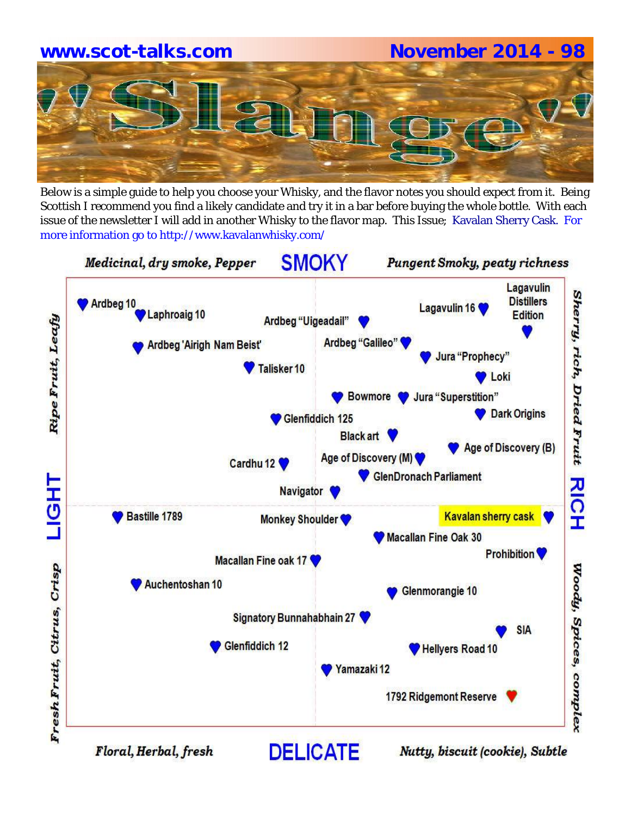Below is a simple guide to help you choose your Whisky, and the flavor notes you should expect from it. Being Scottish I recommend you find a likely candidate and try it in a bar before buying the whole bottle. With each issue of the newsletter I will add in another Whisky to the flavor map. This Issue; Kavalan Sherry Cask. For more information go to http://www.kavalanwhisky.com/



Nutty, biscuit (cookie), Subtle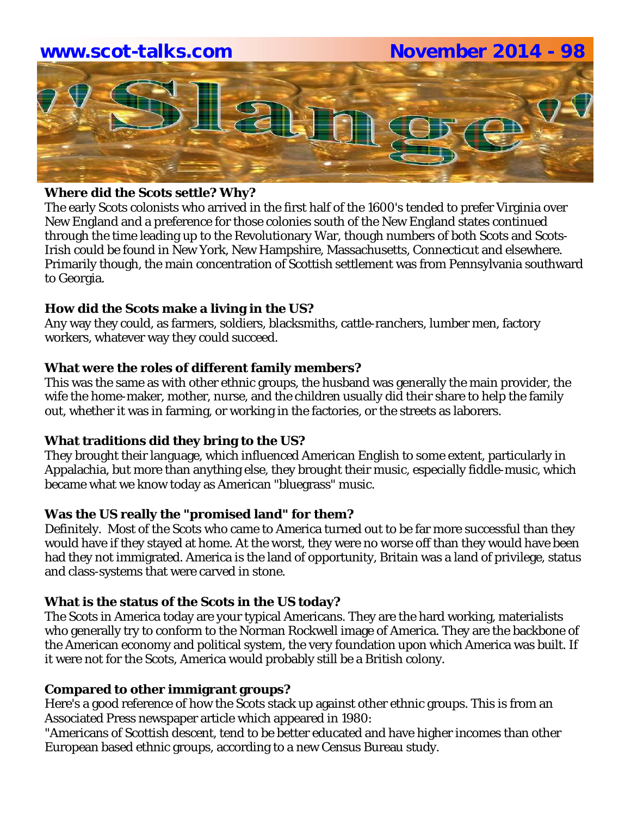

## **Where did the Scots settle? Why?**

The early Scots colonists who arrived in the first half of the 1600's tended to prefer Virginia over New England and a preference for those colonies south of the New England states continued through the time leading up to the Revolutionary War, though numbers of both Scots and Scots-Irish could be found in New York, New Hampshire, Massachusetts, Connecticut and elsewhere. Primarily though, the main concentration of Scottish settlement was from Pennsylvania southward to Georgia.

# **How did the Scots make a living in the US?**

Any way they could, as farmers, soldiers, blacksmiths, cattle-ranchers, lumber men, factory workers, whatever way they could succeed.

## **What were the roles of different family members?**

This was the same as with other ethnic groups, the husband was generally the main provider, the wife the home-maker, mother, nurse, and the children usually did their share to help the family out, whether it was in farming, or working in the factories, or the streets as laborers.

#### **What traditions did they bring to the US?**

They brought their language, which influenced American English to some extent, particularly in Appalachia, but more than anything else, they brought their music, especially fiddle-music, which became what we know today as American "bluegrass" music.

# **Was the US really the "promised land" for them?**

Definitely. Most of the Scots who came to America turned out to be far more successful than they would have if they stayed at home. At the worst, they were no worse off than they would have been had they not immigrated. America is the land of opportunity, Britain was a land of privilege, status and class-systems that were carved in stone.

# **What is the status of the Scots in the US today?**

The Scots in America today are your typical Americans. They are the hard working, materialists who generally try to conform to the Norman Rockwell image of America. They are the backbone of the American economy and political system, the very foundation upon which America was built. If it were not for the Scots, America would probably still be a British colony.

#### **Compared to other immigrant groups?**

Here's a good reference of how the Scots stack up against other ethnic groups. This is from an Associated Press newspaper article which appeared in 1980:

"Americans of Scottish descent, tend to be better educated and have higher incomes than other European based ethnic groups, according to a new Census Bureau study.